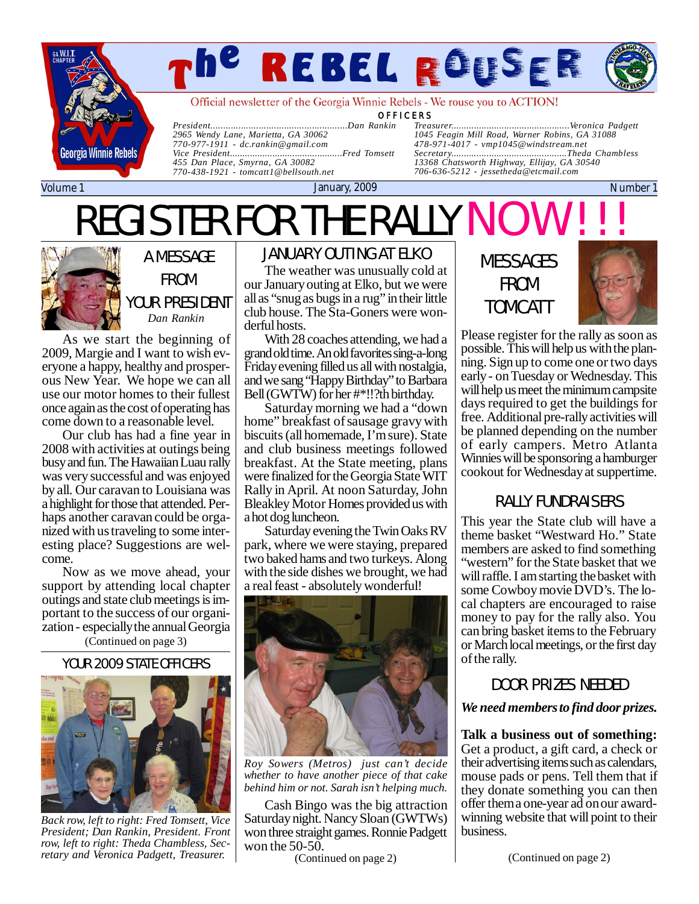

# *The Rebel Rouser Page*

Official newsletter of the Georgia Winnie Rebels - We rouse you to ACTION!

OFFICERS<br>ankin Treasurer.........

*President......................................................Dan Rankin 2965 Wendy Lane, Marietta, GA 30062 770-977-1911 - [dc.rankin@gmail.com](mailto:dc.rankin@gmail.com) Vice President........................... 455 Dan Place, Smyrna, GA 30082 770-438-1921 - [tomcatt1@bellsouth.net](mailto:tomcatt1@bellsouth.net)*

REGISTER FOR THE RALLY NO

*Treasurer...............................................Veronica Padgett 1045 Feagin Mill Road, Warner Robins, GA 31088 478-971-4017 - [vmp1045@windstream.net](mailto:vmp1045@windstream.net) Secretary..............................................Theda Chambless 13368 Chatsworth Highway, Ellijay, GA 30540 706-636-5212 - [jessetheda@etcmail.com](mailto:jessetheda@etcmail.com)*

Volume 1 January, 2009 Number 1

# A MESSAGE

FROM

YOUR PRESIDENT *Dan Rankin*

As we start the beginning of 2009, Margie and I want to wish everyone a happy, healthy and prosperous New Year. We hope we can all use our motor homes to their fullest once again as the cost of operating has come down to a reasonable level.

Our club has had a fine year in 2008 with activities at outings being busy and fun. The Hawaiian Luau rally was very successful and was enjoyed by all. Our caravan to Louisiana was a highlight for those that attended. Perhaps another caravan could be organized with us traveling to some interesting place? Suggestions are welcome.

Now as we move ahead, your support by attending local chapter outings and state club meetings is important to the success of our organization - especially the annual Georgia

# (Continued on page 3)

#### YOUR 2009 STATE OFFICERS



*Back row, left to right: Fred Tomsett, Vice President; Dan Rankin, President. Front row, left to right: Theda Chambless, Secretary and Veronica Padgett, Treasurer.*

## JANUARY OUTING AT ELKO

The weather was unusually cold at our January outing at Elko, but we were all as "snug as bugs in a rug" in their little club house. The Sta-Goners were wonderful hosts.

With 28 coaches attending, we had a grand old time. An old favorites sing-a-long Friday evening filled us all with nostalgia, and we sang "Happy Birthday" to Barbara Bell (GWTW) for her #\*!!?th birthday.

Saturday morning we had a "down home" breakfast of sausage gravy with biscuits (all homemade, I'm sure). State and club business meetings followed breakfast. At the State meeting, plans were finalized for the Georgia State WIT Rally in April. At noon Saturday, John Bleakley Motor Homes provided us with a hot dog luncheon.

Saturday evening the Twin Oaks RV park, where we were staying, prepared two baked hams and two turkeys. Along with the side dishes we brought, we had a real feast - absolutely wonderful!



*Roy Sowers (Metros) just can't decide whether to have another piece of that cake behind him or not. Sarah isn't helping much.*

Cash Bingo was the big attraction Saturday night. Nancy Sloan (GWTWs) won three straight games. Ronnie Padgett won the 50-50.

(Continued on page 2) (Continued on page 2)

MESSAGES FROM TOMCATT



Please register for the rally as soon as possible. This will help us with the planning. Sign up to come one or two days early - on Tuesday or Wednesday. This will help us meet the minimum campsite days required to get the buildings for free. Additional pre-rally activities will be planned depending on the number of early campers. Metro Atlanta Winnies will be sponsoring a hamburger cookout for Wednesday at suppertime.

### RALLY FUNDRAISERS

This year the State club will have a theme basket "Westward Ho." State members are asked to find something "western" for the State basket that we will raffle. I am starting the basket with some Cowboy movie DVD's. The local chapters are encouraged to raise money to pay for the rally also. You can bring basket items to the February or March local meetings, or the first day of the rally.

### DOOR PRIZES NEEDED

#### *We need members to find door prizes.*

**Talk a business out of something:** Get a product, a gift card, a check or their advertising items such as calendars, mouse pads or pens. Tell them that if they donate something you can then offer them a one-year ad on our awardwinning website that will point to their business.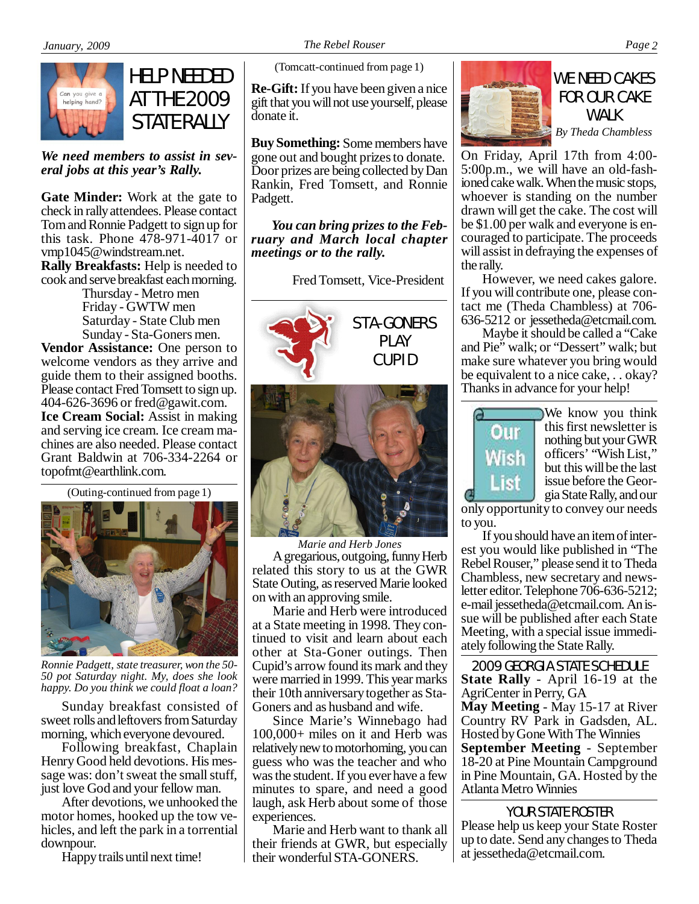

HELP NEEDED AT THE 2009 STATE RALLY

*We need members to assist in several jobs at this year's Rally.*

**Gate Minder:** Work at the gate to check in rally attendees. Please contact Tom and Ronnie Padgett to sign up for this task. Phone  $4\overline{7}8-971-\overline{4}01\overline{7}$  or [vmp1045@windstream.net.](mailto:vmp1045@windstream.net) **Rally Breakfasts:** Help is needed to

cook and serve breakfast each morning. Thursday - Metro men

Friday - GWTW men Saturday - State Club men Sunday - Sta-Goners men.

**Vendor Assistance:** One person to welcome vendors as they arrive and guide them to their assigned booths. Please contact Fred Tomsett to sign up. 404-626-3696 or [fred@gawit.com](mailto:fred@gawit.com). **Ice Cream Social:** Assist in making and serving ice cream. Ice cream machines are also needed. Please contact Grant Baldwin at 706-334-2264 or [topofmt@earthlink.com](mailto:topofmt@earthlink.com).

(Outing-continued from page 1)



*Ronnie Padgett, state treasurer, won the 50- 50 pot Saturday night. My, does she look happy. Do you think we could float a loan?*

Sunday breakfast consisted of sweet rolls and leftovers from Saturday morning, which everyone devoured.

Following breakfast, Chaplain Henry Good held devotions. His message was: don't sweat the small stuff, just love God and your fellow man.

After devotions, we unhooked the motor homes, hooked up the tow vehicles, and left the park in a torrential downpour.

Happy trails until next time!

(Tomcatt-continued from page 1)

**Re-Gift:** If you have been given a nice gift that you will not use yourself, please donate it.

**Buy Something:** Some members have gone out and bought prizes to donate. Door prizes are being collected by Dan Rankin, Fred Tomsett, and Ronnie Padgett.

*You can bring prizes to the February and March local chapter meetings or to the rally.*

Fred Tomsett, Vice-President



PLAY CUPID



*Marie and Herb Jones* A gregarious, outgoing, funny Herb related this story to us at the GWR State Outing, as reserved Marie looked on with an approving smile.

Marie and Herb were introduced at a State meeting in 1998. They continued to visit and learn about each other at Sta-Goner outings. Then Cupid's arrow found its mark and they were married in 1999. This year marks their 10th anniversary together as Sta-Goners and as husband and wife.

Since Marie's Winnebago had 100,000+ miles on it and Herb was relatively new to motorhoming, you can guess who was the teacher and who was the student. If you ever have a few minutes to spare, and need a good laugh, ask Herb about some of those experiences.

Marie and Herb want to thank all their friends at GWR, but especially their wonderful STA-GONERS.



# WE NEED CAKES FOR OUR CAKE WAI K

*By Theda Chambless*

On Friday, April 17th from 4:00- 5:00p.m., we will have an old-fashioned cake walk. When the music stops, whoever is standing on the number drawn will get the cake. The cost will be \$1.00 per walk and everyone is encouraged to participate. The proceeds will assist in defraying the expenses of the rally.

However, we need cakes galore. If you will contribute one, please contact me (Theda Chambless) at 706- 636-5212 or [jessetheda@etcmail.com.](mailto:jessetheda@etcmail.com)

Maybe it should be called a "Cake and Pie" walk; or "Dessert" walk; but make sure whatever you bring would be equivalent to a nice cake, . . okay? Thanks in advance for your help!



We know you think this first newsletter is nothing but your GWR officers' "Wish List," but this will be the last issue before the Georgia State Rally, and our

only opportunity to convey our needs to you.

If you should have an item of interest you would like published in "The Rebel Rouser," please send it to Theda Chambless, new secretary and newsletter editor. Telephone 706-636-5212; e-mail [jessetheda@etcmail.com.](mailto:jessetheda@etcmail.com) An issue will be published after each State Meeting, with a special issue immediately following the State Rally.

2009 GEORGIA STATE SCHEDULE **State Rally** - April 16-19 at the AgriCenter in Perry, GA **May Meeting** - May 15-17 at River Country RV Park in Gadsden, AL. Hosted by Gone With The Winnies **September Meeting** - September 18-20 at Pine Mountain Campground in Pine Mountain, GA. Hosted by the Atlanta Metro Winnies

Please help us keep your State Roster up to date. Send any changes to Theda at [jessetheda@etcmail.com.](mailto:jessetheda@etcmail.com) YOUR STATE ROSTER